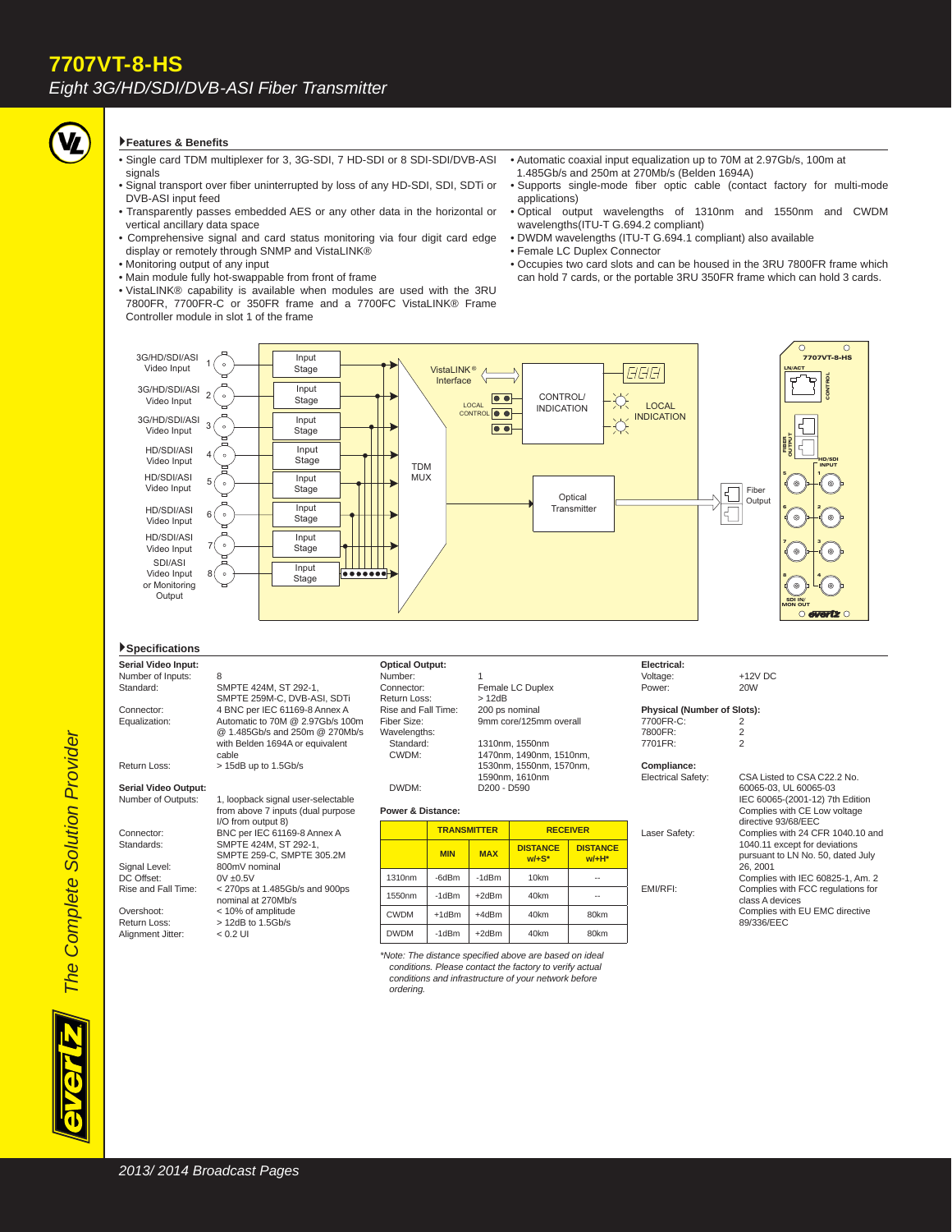## **Features & Benefi ts**

- Single card TDM multiplexer for 3, 3G-SDI, 7 HD-SDI or 8 SDI-SDI/DVB-ASI signals
- Signal transport over fiber uninterrupted by loss of any HD-SDI, SDI, SDTi or DVB-ASI input feed
- Transparently passes embedded AES or any other data in the horizontal or vertical ancillary data space
- Comprehensive signal and card status monitoring via four digit card edge display or remotely through SNMP and VistaLINK®
- Monitoring output of any input
- Main module fully hot-swappable from front of frame
- VistaLINK® capability is available when modules are used with the 3RU 7800FR, 7700FR-C or 350FR frame and a 7700FC VistaLINK® Frame Controller module in slot 1 of the frame
- Automatic coaxial input equalization up to 70M at 2.97Gb/s, 100m at 1.485Gb/s and 250m at 270Mb/s (Belden 1694A)
- Supports single-mode fiber optic cable (contact factory for multi-mode applications)
- Optical output wavelengths of 1310nm and 1550nm and CWDM wavelengths(ITU-T G.694.2 compliant)
- DWDM wavelengths (ITU-T G.694.1 compliant) also available
- Female LC Duplex Connector
- Occupies two card slots and can be housed in the 3RU 7800FR frame which can hold 7 cards, or the portable 3RU 350FR frame which can hold 3 cards.



### **Specifi cations**

**Serial Video Input:** Number of Inputs: Standard: SMPTE 424M, ST 292-1, SMPTE 259M-C, DVB-ASI, SDTi<br>
4 RNC per IEC 61169-8 Annex A 4 BNC per IEC 61169-8 Annex A Equalization: Automatic to 70M @ 2.97Gb/s 100m @ 1.485Gb/s and 250m @ 270Mb/s with Belden 1694A or equivalent cable<br>Return Loss:  $>15d$  $> 15dB$  up to 1.5Gb/s

## **Serial Video Output:**

Alignment Jitter:

1, loopback signal user-selectable from above 7 inputs (dual purpose I/O from output 8)<br>Connector: BNC per IEC 6116 Connector: BNC per IEC 61169-8 Annex A<br>Standards: SMPTE 424M, ST 292-1. Standards: SMPTE 424M, ST 292-1, SMPTE 259-C, SMPTE 305.2M Signal Level: 800mV nominal<br>DC Offset: 0V +0.5V DC Offset:<br>Rise and Fall Time:  $<$  270ps at 1.485Gb/s and 900ps nominal at 270Mb/s<br>Cyershoot: < 10% of amplitude Overshoot: < 10% of amplitude<br>Return Loss: > 12dB to 1.5Gb/s  $> 12$ dB to 1.5Gb/s<br> $< 0.2$  Ul

**Optical Output:** Number: Return Loss: > 12dB<br>Rise and Fall Time: 200 ps nominal Rise and Fall Time: Wavelengths:<br>Standard: Enceived Standard: 1310nm, 1550nm<br>CWDM: 1470nm, 1490nm.

Connector: Female LC Duplex<br>Return Loss: > 12dB Fiber Size: 9mm core/125mm overall

1470nm, 1490nm, 1510nm, 1530nm, 1550nm, 1570nm, 1590nm, 1610nm<br>DWDM: D200 - D590 D200 - D590

#### **Power & Distance:**

|             | <b>TRANSMITTER</b> |            | <b>RECEIVER</b>             |                            |
|-------------|--------------------|------------|-----------------------------|----------------------------|
|             | <b>MIN</b>         | <b>MAX</b> | <b>DISTANCE</b><br>$W/+S^*$ | <b>DISTANCE</b><br>$W/H^*$ |
| 1310nm      | -6dBm              | $-1dBm$    | 10 <sub>km</sub>            | --                         |
| 1550nm      | $-1$ d $Bm$        | $+2dBr$    | 40km                        | --                         |
| <b>CWDM</b> | $+1dBm$            | +4dBm      | 40km                        | 80km                       |
| <b>DWDM</b> | $-1dBm$            | $+2dBr$    | 40km                        | 80km                       |

*\*Note: The distance specifi ed above are based on ideal conditions. Please contact the factory to verify actual conditions and infrastructure of your network before ordering.*

**Electrical:**

Power: 20W **Physical (Number of Slots):**

 $+12V$  DC

7700FR-C: 2<br>7800FR: 2 7800FR: 2

**Compliance:**

7701FR: 2

directive 93/68/EEC<br>directive 93/68/EEC<br>Complies with 24 CF Complies with 24 CFR 1040.10 and 1040.11 except for deviations pursuant to LN No. 50, dated July 26, 2001 Complies with IEC 60825-1, Am. 2<br>Complies with ECC requlations for Complies with FCC regulations for class A devices Complies with EU EMC directive 89/336/EEC

CSA Listed to CSA C22.2 No. 60065-03, UL 60065-03 IEC 60065-(2001-12) 7th Edition Complies with CE Low voltage

*The Complete Solution Provider*

The Complete Solution Provider